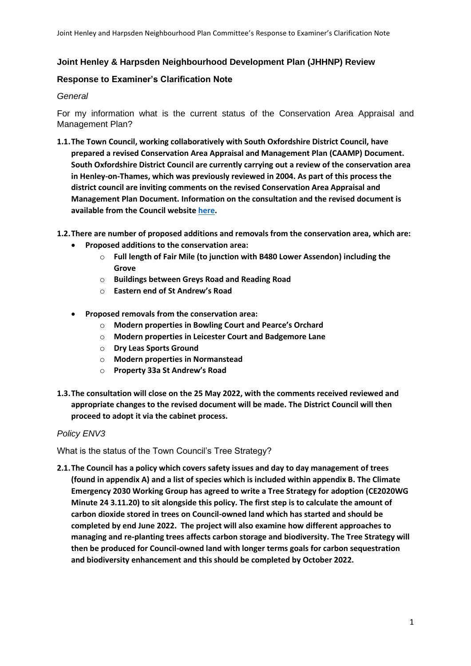### **Joint Henley & Harpsden Neighbourhood Development Plan (JHHNP) Review**

### **Response to Examiner's Clarification Note**

#### *General*

For my information what is the current status of the Conservation Area Appraisal and Management Plan?

**1.1.The Town Council, working collaboratively with South Oxfordshire District Council, have prepared a revised Conservation Area Appraisal and Management Plan (CAAMP) Document. South Oxfordshire District Council are currently carrying out a review of the conservation area in Henley-on-Thames, which was previously reviewed in 2004. As part of this process the district council are inviting comments on the revised Conservation Area Appraisal and Management Plan Document. Information on the consultation and the revised document is available from the Council websit[e here.](https://www.southoxon.gov.uk/south-oxfordshire-district-council/planning-and-development/building-conservation-and-design/conservation-areas/review-of-the-henley-conservation-area/)** 

**1.2.There are number of proposed additions and removals from the conservation area, which are:**

- **Proposed additions to the conservation area:**
	- o **Full length of Fair Mile (to junction with B480 Lower Assendon) including the Grove**
	- o **Buildings between Greys Road and Reading Road**
	- o **Eastern end of St Andrew's Road**
- **Proposed removals from the conservation area:**
	- o **Modern properties in Bowling Court and Pearce's Orchard**
	- o **Modern properties in Leicester Court and Badgemore Lane**
	- o **Dry Leas Sports Ground**
	- o **Modern properties in Normanstead**
	- o **Property 33a St Andrew's Road**
- **1.3.The consultation will close on the 25 May 2022, with the comments received reviewed and appropriate changes to the revised document will be made. The District Council will then proceed to adopt it via the cabinet process.**

#### *Policy ENV3*

What is the status of the Town Council's Tree Strategy?

**2.1.The Council has a policy which covers safety issues and day to day management of trees (found in appendix A) and a list of species which is included within appendix B. The Climate Emergency 2030 Working Group has agreed to write a Tree Strategy for adoption (CE2020WG Minute 24 3.11.20) to sit alongside this policy. The first step is to calculate the amount of carbon dioxide stored in trees on Council-owned land which has started and should be completed by end June 2022. The project will also examine how different approaches to managing and re-planting trees affects carbon storage and biodiversity. The Tree Strategy will then be produced for Council-owned land with longer terms goals for carbon sequestration and biodiversity enhancement and this should be completed by October 2022.**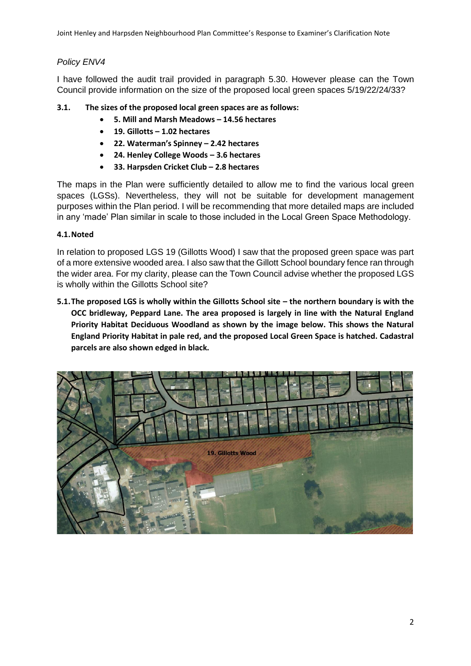Joint Henley and Harpsden Neighbourhood Plan Committee's Response to Examiner's Clarification Note

# *Policy ENV4*

I have followed the audit trail provided in paragraph 5.30. However please can the Town Council provide information on the size of the proposed local green spaces 5/19/22/24/33?

- **3.1. The sizes of the proposed local green spaces are as follows:**
	- **5. Mill and Marsh Meadows – 14.56 hectares**
	- **19. Gillotts – 1.02 hectares**
	- **22. Waterman's Spinney – 2.42 hectares**
	- **24. Henley College Woods – 3.6 hectares**
	- **33. Harpsden Cricket Club – 2.8 hectares**

The maps in the Plan were sufficiently detailed to allow me to find the various local green spaces (LGSs). Nevertheless, they will not be suitable for development management purposes within the Plan period. I will be recommending that more detailed maps are included in any 'made' Plan similar in scale to those included in the Local Green Space Methodology.

## **4.1.Noted**

In relation to proposed LGS 19 (Gillotts Wood) I saw that the proposed green space was part of a more extensive wooded area. I also saw that the Gillott School boundary fence ran through the wider area. For my clarity, please can the Town Council advise whether the proposed LGS is wholly within the Gillotts School site?

**5.1.The proposed LGS is wholly within the Gillotts School site – the northern boundary is with the OCC bridleway, Peppard Lane. The area proposed is largely in line with the Natural England Priority Habitat Deciduous Woodland as shown by the image below. This shows the Natural England Priority Habitat in pale red, and the proposed Local Green Space is hatched. Cadastral parcels are also shown edged in black.**

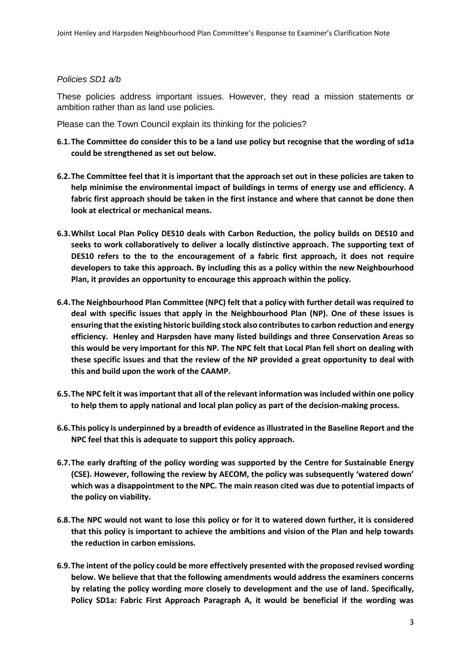#### *Policies SD1 a/b*

These policies address important issues. However, they read a mission statements or ambition rather than as land use policies.

Please can the Town Council explain its thinking for the policies?

- **6.1.The Committee do consider this to be a land use policy but recognise that the wording of sd1a could be strengthened as set out below.**
- **6.2.The Committee feel that it is important that the approach set out in these policies are taken to help minimise the environmental impact of buildings in terms of energy use and efficiency. A fabric first approach should be taken in the first instance and where that cannot be done then look at electrical or mechanical means.**
- **6.3.Whilst Local Plan Policy DES10 deals with Carbon Reduction, the policy builds on DES10 and seeks to work collaboratively to deliver a locally distinctive approach. The supporting text of DES10 refers to the to the encouragement of a fabric first approach, it does not require developers to take this approach. By including this as a policy within the new Neighbourhood Plan, it provides an opportunity to encourage this approach within the policy.**
- **6.4.The Neighbourhood Plan Committee (NPC) felt that a policy with further detail was required to deal with specific issues that apply in the Neighbourhood Plan (NP). One of these issues is ensuring that the existing historic building stock also contributes to carbon reduction and energy efficiency. Henley and Harpsden have many listed buildings and three Conservation Areas so this would be very important for this NP. The NPC felt that Local Plan fell short on dealing with these specific issues and that the review of the NP provided a great opportunity to deal with this and build upon the work of the CAAMP.**
- **6.5.The NPC felt it was important that all of the relevant information was included within one policy to help them to apply national and local plan policy as part of the decision-making process.**
- **6.6.This policy is underpinned by a breadth of evidence as illustrated in the Baseline Report and the NPC feel that this is adequate to support this policy approach.**
- **6.7.The early drafting of the policy wording was supported by the Centre for Sustainable Energy (CSE). However, following the review by AECOM, the policy was subsequently 'watered down' which was a disappointment to the NPC. The main reason cited was due to potential impacts of the policy on viability.**
- **6.8.The NPC would not want to lose this policy or for it to watered down further, it is considered that this policy is important to achieve the ambitions and vision of the Plan and help towards the reduction in carbon emissions.**
- **6.9.The intent of the policy could be more effectively presented with the proposed revised wording below. We believe that that the following amendments would address the examiners concerns by relating the policy wording more closely to development and the use of land. Specifically, Policy SD1a: Fabric First Approach Paragraph A, it would be beneficial if the wording was**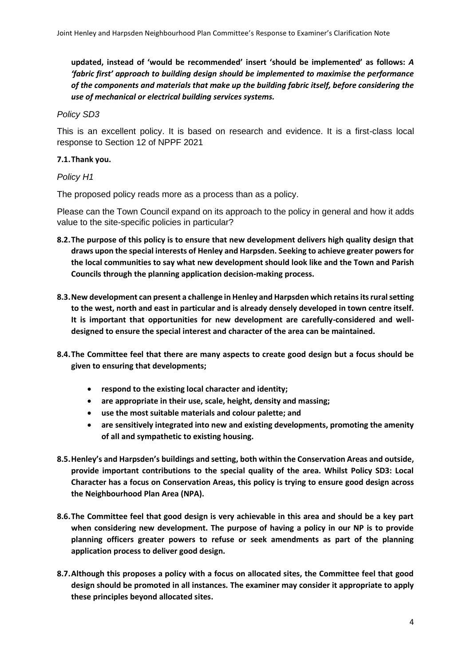**updated, instead of 'would be recommended' insert 'should be implemented' as follows:** *A 'fabric first' approach to building design should be implemented to maximise the performance of the components and materials that make up the building fabric itself, before considering the use of mechanical or electrical building services systems.*

### *Policy SD3*

This is an excellent policy. It is based on research and evidence. It is a first-class local response to Section 12 of NPPF 2021

### **7.1.Thank you.**

#### *Policy H1*

The proposed policy reads more as a process than as a policy.

Please can the Town Council expand on its approach to the policy in general and how it adds value to the site-specific policies in particular?

- **8.2.The purpose of this policy is to ensure that new development delivers high quality design that draws upon the special interests of Henley and Harpsden. Seeking to achieve greater powers for the local communities to say what new development should look like and the Town and Parish Councils through the planning application decision-making process.**
- **8.3.New development can present a challenge in Henley and Harpsden which retains its rural setting to the west, north and east in particular and is already densely developed in town centre itself. It is important that opportunities for new development are carefully-considered and welldesigned to ensure the special interest and character of the area can be maintained.**
- **8.4.The Committee feel that there are many aspects to create good design but a focus should be given to ensuring that developments;**
	- **respond to the existing local character and identity;**
	- **are appropriate in their use, scale, height, density and massing;**
	- **use the most suitable materials and colour palette; and**
	- **are sensitively integrated into new and existing developments, promoting the amenity of all and sympathetic to existing housing.**
- **8.5.Henley's and Harpsden's buildings and setting, both within the Conservation Areas and outside, provide important contributions to the special quality of the area. Whilst Policy SD3: Local Character has a focus on Conservation Areas, this policy is trying to ensure good design across the Neighbourhood Plan Area (NPA).**
- **8.6.The Committee feel that good design is very achievable in this area and should be a key part when considering new development. The purpose of having a policy in our NP is to provide planning officers greater powers to refuse or seek amendments as part of the planning application process to deliver good design.**
- **8.7.Although this proposes a policy with a focus on allocated sites, the Committee feel that good design should be promoted in all instances. The examiner may consider it appropriate to apply these principles beyond allocated sites.**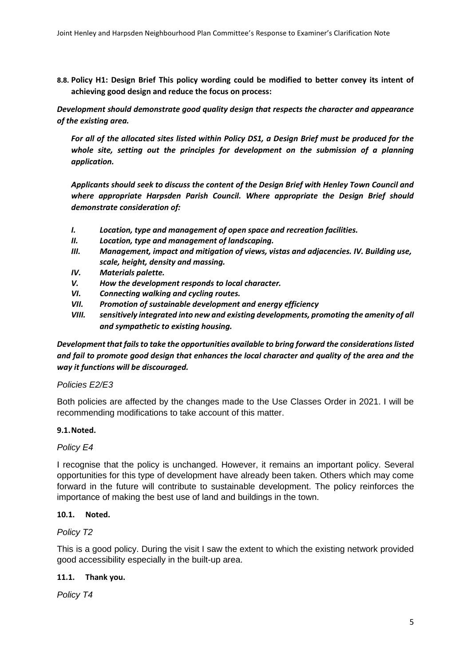**8.8. Policy H1: Design Brief This policy wording could be modified to better convey its intent of achieving good design and reduce the focus on process:** 

*Development should demonstrate good quality design that respects the character and appearance of the existing area.*

*For all of the allocated sites listed within Policy DS1, a Design Brief must be produced for the whole site, setting out the principles for development on the submission of a planning application.*

*Applicants should seek to discuss the content of the Design Brief with Henley Town Council and where appropriate Harpsden Parish Council. Where appropriate the Design Brief should demonstrate consideration of:* 

- *I. Location, type and management of open space and recreation facilities.*
- *II. Location, type and management of landscaping.*
- *III. Management, impact and mitigation of views, vistas and adjacencies. IV. Building use, scale, height, density and massing.*
- *IV. Materials palette.*
- *V. How the development responds to local character.*
- *VI. Connecting walking and cycling routes.*
- *VII. Promotion of sustainable development and energy efficiency*
- *VIII. sensitively integrated into new and existing developments, promoting the amenity of all and sympathetic to existing housing.*

*Development that fails to take the opportunities available to bring forward the considerations listed and fail to promote good design that enhances the local character and quality of the area and the way it functions will be discouraged.*

#### *Policies E2/E3*

Both policies are affected by the changes made to the Use Classes Order in 2021. I will be recommending modifications to take account of this matter.

#### **9.1.Noted.**

#### *Policy E4*

I recognise that the policy is unchanged. However, it remains an important policy. Several opportunities for this type of development have already been taken. Others which may come forward in the future will contribute to sustainable development. The policy reinforces the importance of making the best use of land and buildings in the town.

#### **10.1. Noted.**

#### *Policy T2*

This is a good policy. During the visit I saw the extent to which the existing network provided good accessibility especially in the built-up area.

## **11.1. Thank you.**

*Policy T4*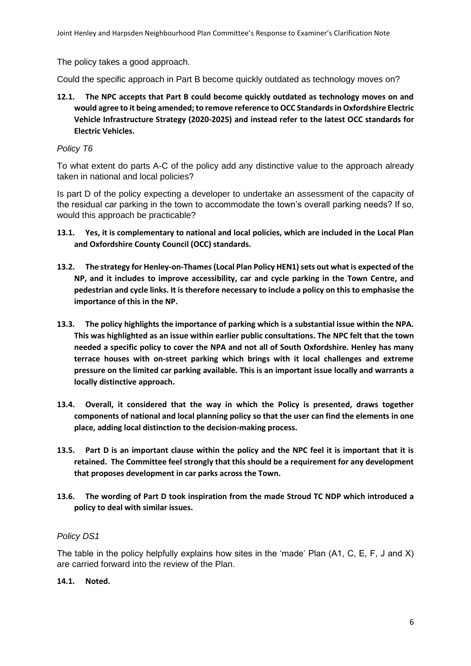Joint Henley and Harpsden Neighbourhood Plan Committee's Response to Examiner's Clarification Note

The policy takes a good approach.

Could the specific approach in Part B become quickly outdated as technology moves on?

**12.1. The NPC accepts that Part B could become quickly outdated as technology moves on and would agree to it being amended; to remove reference to OCC Standards in Oxfordshire Electric Vehicle Infrastructure Strategy (2020-2025) and instead refer to the latest OCC standards for Electric Vehicles.** 

## *Policy T6*

To what extent do parts A-C of the policy add any distinctive value to the approach already taken in national and local policies?

Is part D of the policy expecting a developer to undertake an assessment of the capacity of the residual car parking in the town to accommodate the town's overall parking needs? If so, would this approach be practicable?

- **13.1. Yes, it is complementary to national and local policies, which are included in the Local Plan and Oxfordshire County Council (OCC) standards.**
- **13.2. The strategy for Henley-on-Thames (Local Plan Policy HEN1) sets out what is expected of the NP, and it includes to improve accessibility, car and cycle parking in the Town Centre, and pedestrian and cycle links. It is therefore necessary to include a policy on this to emphasise the importance of this in the NP.**
- **13.3. The policy highlights the importance of parking which is a substantial issue within the NPA. This was highlighted as an issue within earlier public consultations. The NPC felt that the town needed a specific policy to cover the NPA and not all of South Oxfordshire. Henley has many terrace houses with on-street parking which brings with it local challenges and extreme pressure on the limited car parking available. This is an important issue locally and warrants a locally distinctive approach.**
- **13.4. Overall, it considered that the way in which the Policy is presented, draws together components of national and local planning policy so that the user can find the elements in one place, adding local distinction to the decision-making process.**
- **13.5. Part D is an important clause within the policy and the NPC feel it is important that it is retained. The Committee feel strongly that this should be a requirement for any development that proposes development in car parks across the Town.**
- **13.6. The wording of Part D took inspiration from the made Stroud TC NDP which introduced a policy to deal with similar issues.**

## *Policy DS1*

The table in the policy helpfully explains how sites in the 'made' Plan (A1, C, E, F, J and X) are carried forward into the review of the Plan.

#### **14.1. Noted.**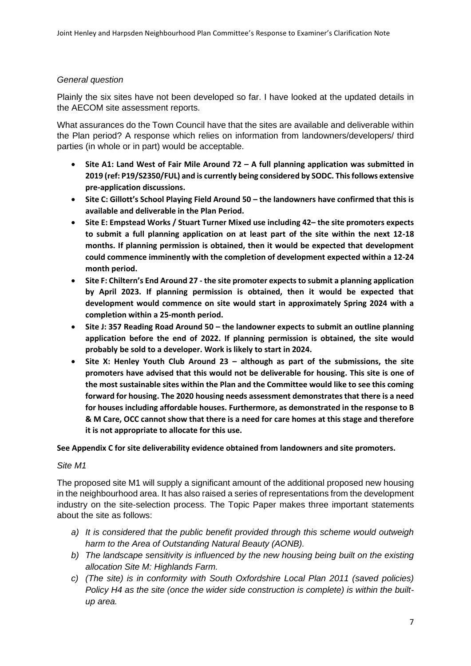## *General question*

Plainly the six sites have not been developed so far. I have looked at the updated details in the AECOM site assessment reports.

What assurances do the Town Council have that the sites are available and deliverable within the Plan period? A response which relies on information from landowners/developers/ third parties (in whole or in part) would be acceptable.

- **Site A1: Land West of Fair Mile Around 72 – A full planning application was submitted in 2019 (ref: P19/S2350/FUL) and is currently being considered by SODC. This follows extensive pre-application discussions.**
- **Site C: Gillott's School Playing Field Around 50 – the landowners have confirmed that this is available and deliverable in the Plan Period.**
- **Site E: Empstead Works / Stuart Turner Mixed use including 42– the site promoters expects to submit a full planning application on at least part of the site within the next 12-18 months. If planning permission is obtained, then it would be expected that development could commence imminently with the completion of development expected within a 12-24 month period.**
- **Site F: Chiltern's End Around 27 - the site promoter expects to submit a planning application by April 2023. If planning permission is obtained, then it would be expected that development would commence on site would start in approximately Spring 2024 with a completion within a 25-month period.**
- **Site J: 357 Reading Road Around 50 – the landowner expects to submit an outline planning application before the end of 2022. If planning permission is obtained, the site would probably be sold to a developer. Work is likely to start in 2024.**
- **Site X: Henley Youth Club Around 23 – although as part of the submissions, the site promoters have advised that this would not be deliverable for housing. This site is one of the most sustainable sites within the Plan and the Committee would like to see this coming forward for housing. The 2020 housing needs assessment demonstrates that there is a need for houses including affordable houses. Furthermore, as demonstrated in the response to B & M Care, OCC cannot show that there is a need for care homes at this stage and therefore it is not appropriate to allocate for this use.**

**See Appendix C for site deliverability evidence obtained from landowners and site promoters.** 

#### *Site M1*

The proposed site M1 will supply a significant amount of the additional proposed new housing in the neighbourhood area. It has also raised a series of representations from the development industry on the site-selection process. The Topic Paper makes three important statements about the site as follows:

- *a) It is considered that the public benefit provided through this scheme would outweigh harm to the Area of Outstanding Natural Beauty (AONB).*
- *b) The landscape sensitivity is influenced by the new housing being built on the existing allocation Site M: Highlands Farm.*
- *c) (The site) is in conformity with South Oxfordshire Local Plan 2011 (saved policies) Policy H4 as the site (once the wider side construction is complete) is within the builtup area.*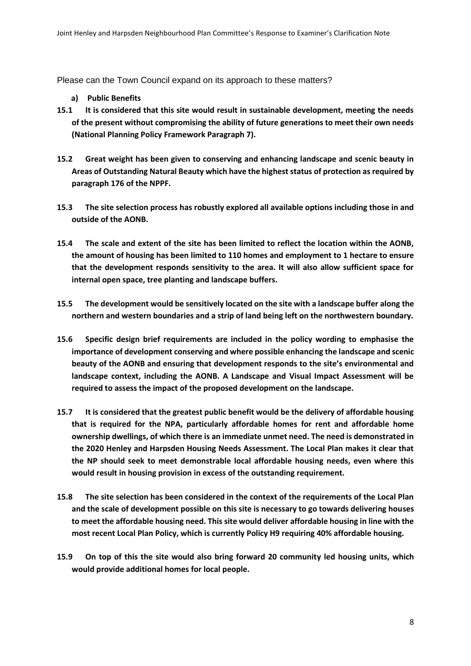Please can the Town Council expand on its approach to these matters?

- **a) Public Benefits**
- **15.1 It is considered that this site would result in sustainable development, meeting the needs of the present without compromising the ability of future generations to meet their own needs (National Planning Policy Framework Paragraph 7).**
- **15.2 Great weight has been given to conserving and enhancing landscape and scenic beauty in Areas of Outstanding Natural Beauty which have the highest status of protection as required by paragraph 176 of the NPPF.**
- **15.3 The site selection process has robustly explored all available options including those in and outside of the AONB.**
- **15.4 The scale and extent of the site has been limited to reflect the location within the AONB, the amount of housing has been limited to 110 homes and employment to 1 hectare to ensure that the development responds sensitivity to the area. It will also allow sufficient space for internal open space, tree planting and landscape buffers.**
- **15.5 The development would be sensitively located on the site with a landscape buffer along the northern and western boundaries and a strip of land being left on the northwestern boundary.**
- **15.6 Specific design brief requirements are included in the policy wording to emphasise the importance of development conserving and where possible enhancing the landscape and scenic beauty of the AONB and ensuring that development responds to the site's environmental and landscape context, including the AONB. A Landscape and Visual Impact Assessment will be required to assess the impact of the proposed development on the landscape.**
- **15.7 It is considered that the greatest public benefit would be the delivery of affordable housing that is required for the NPA, particularly affordable homes for rent and affordable home ownership dwellings, of which there is an immediate unmet need. The need is demonstrated in the 2020 Henley and Harpsden Housing Needs Assessment. The Local Plan makes it clear that the NP should seek to meet demonstrable local affordable housing needs, even where this would result in housing provision in excess of the outstanding requirement.**
- **15.8 The site selection has been considered in the context of the requirements of the Local Plan and the scale of development possible on this site is necessary to go towards delivering houses to meet the affordable housing need. This site would deliver affordable housing in line with the most recent Local Plan Policy, which is currently Policy H9 requiring 40% affordable housing.**
- **15.9 On top of this the site would also bring forward 20 community led housing units, which would provide additional homes for local people.**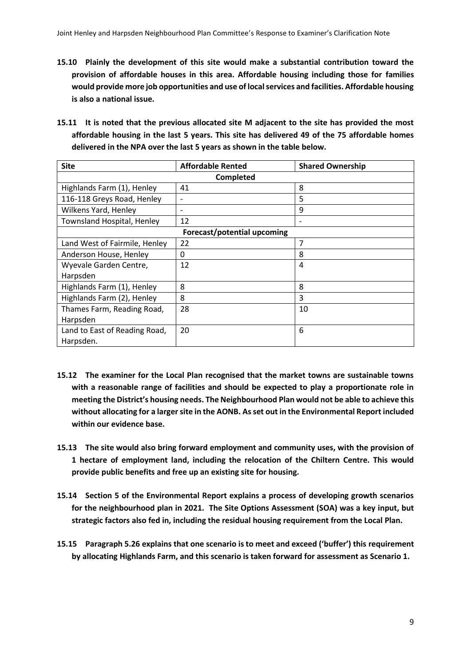- **15.10 Plainly the development of this site would make a substantial contribution toward the provision of affordable houses in this area. Affordable housing including those for families would provide more job opportunities and use of local services and facilities. Affordable housing is also a national issue.**
- **15.11 It is noted that the previous allocated site M adjacent to the site has provided the most affordable housing in the last 5 years. This site has delivered 49 of the 75 affordable homes delivered in the NPA over the last 5 years as shown in the table below.**

| <b>Site</b>                       | <b>Affordable Rented</b>     | <b>Shared Ownership</b> |
|-----------------------------------|------------------------------|-------------------------|
|                                   | Completed                    |                         |
| Highlands Farm (1), Henley        | 41                           | 8                       |
| 116-118 Greys Road, Henley        | $\overline{\phantom{a}}$     | 5                       |
| Wilkens Yard, Henley              | $\qquad \qquad \blacksquare$ | 9                       |
| <b>Townsland Hospital, Henley</b> | 12                           | -                       |
| Forecast/potential upcoming       |                              |                         |
| Land West of Fairmile, Henley     | 22                           | 7                       |
| Anderson House, Henley            | 0                            | 8                       |
| Wyevale Garden Centre,            | 12                           | 4                       |
| Harpsden                          |                              |                         |
| Highlands Farm (1), Henley        | 8                            | 8                       |
| Highlands Farm (2), Henley        | 8                            | 3                       |
| Thames Farm, Reading Road,        | 28                           | 10                      |
| Harpsden                          |                              |                         |
| Land to East of Reading Road,     | 20                           | 6                       |
| Harpsden.                         |                              |                         |

- **15.12 The examiner for the Local Plan recognised that the market towns are sustainable towns with a reasonable range of facilities and should be expected to play a proportionate role in meeting the District's housing needs. The Neighbourhood Plan would not be able to achieve this without allocating for a larger site in the AONB. As set out in the Environmental Report included within our evidence base.**
- **15.13 The site would also bring forward employment and community uses, with the provision of 1 hectare of employment land, including the relocation of the Chiltern Centre. This would provide public benefits and free up an existing site for housing.**
- **15.14 Section 5 of the Environmental Report explains a process of developing growth scenarios for the neighbourhood plan in 2021. The Site Options Assessment (SOA) was a key input, but strategic factors also fed in, including the residual housing requirement from the Local Plan.**
- **15.15 Paragraph 5.26 explains that one scenario is to meet and exceed ('buffer') this requirement by allocating Highlands Farm, and this scenario is taken forward for assessment as Scenario 1.**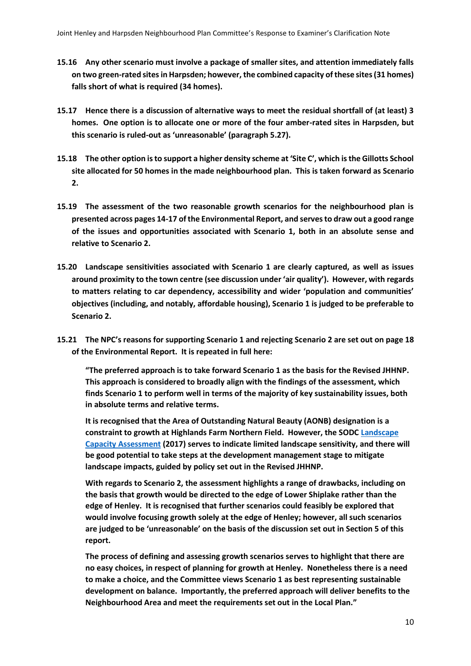- **15.16 Any other scenario must involve a package of smaller sites, and attention immediately falls on two green-rated sitesin Harpsden; however, the combined capacity of these sites (31 homes) falls short of what is required (34 homes).**
- **15.17 Hence there is a discussion of alternative ways to meet the residual shortfall of (at least) 3 homes. One option is to allocate one or more of the four amber-rated sites in Harpsden, but this scenario is ruled-out as 'unreasonable' (paragraph 5.27).**
- **15.18 The other option is to support a higher density scheme at 'Site C', which is the Gillotts School site allocated for 50 homes in the made neighbourhood plan. This is taken forward as Scenario 2.**
- **15.19 The assessment of the two reasonable growth scenarios for the neighbourhood plan is presented across pages 14-17 of the Environmental Report, and serves to draw out a good range of the issues and opportunities associated with Scenario 1, both in an absolute sense and relative to Scenario 2.**
- **15.20 Landscape sensitivities associated with Scenario 1 are clearly captured, as well as issues around proximity to the town centre (see discussion under 'air quality'). However, with regards to matters relating to car dependency, accessibility and wider 'population and communities' objectives (including, and notably, affordable housing), Scenario 1 is judged to be preferable to Scenario 2.**
- **15.21 The NPC's reasons for supporting Scenario 1 and rejecting Scenario 2 are set out on page 18 of the Environmental Report. It is repeated in full here:**

**"The preferred approach is to take forward Scenario 1 as the basis for the Revised JHHNP. This approach is considered to broadly align with the findings of the assessment, which finds Scenario 1 to perform well in terms of the majority of key sustainability issues, both in absolute terms and relative terms.** 

**It is recognised that the Area of Outstanding Natural Beauty (AONB) designation is a constraint to growth at Highlands Farm Northern Field. However, the SODC [Landscape](https://data.southoxon.gov.uk/ccm/support/dynamic_serve.jsp?ID=1038255682&CODE=DEBC6A309FBCBBF6CAD80B61AD2F977A#page=104)  [Capacity Assessment](https://data.southoxon.gov.uk/ccm/support/dynamic_serve.jsp?ID=1038255682&CODE=DEBC6A309FBCBBF6CAD80B61AD2F977A#page=104) (2017) serves to indicate limited landscape sensitivity, and there will be good potential to take steps at the development management stage to mitigate landscape impacts, guided by policy set out in the Revised JHHNP.** 

**With regards to Scenario 2, the assessment highlights a range of drawbacks, including on the basis that growth would be directed to the edge of Lower Shiplake rather than the edge of Henley. It is recognised that further scenarios could feasibly be explored that would involve focusing growth solely at the edge of Henley; however, all such scenarios are judged to be 'unreasonable' on the basis of the discussion set out in Section 5 of this report.** 

**The process of defining and assessing growth scenarios serves to highlight that there are no easy choices, in respect of planning for growth at Henley. Nonetheless there is a need to make a choice, and the Committee views Scenario 1 as best representing sustainable development on balance. Importantly, the preferred approach will deliver benefits to the Neighbourhood Area and meet the requirements set out in the Local Plan."**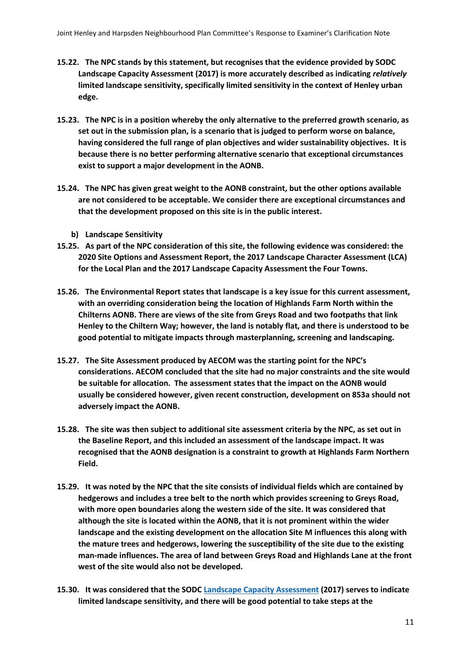- **15.22. The NPC stands by this statement, but recognises that the evidence provided by SODC Landscape Capacity Assessment (2017) is more accurately described as indicating** *relatively* **limited landscape sensitivity, specifically limited sensitivity in the context of Henley urban edge.**
- **15.23. The NPC is in a position whereby the only alternative to the preferred growth scenario, as set out in the submission plan, is a scenario that is judged to perform worse on balance, having considered the full range of plan objectives and wider sustainability objectives. It is because there is no better performing alternative scenario that exceptional circumstances exist to support a major development in the AONB.**
- **15.24. The NPC has given great weight to the AONB constraint, but the other options available are not considered to be acceptable. We consider there are exceptional circumstances and that the development proposed on this site is in the public interest.**
	- **b) Landscape Sensitivity**
- **15.25. As part of the NPC consideration of this site, the following evidence was considered: the 2020 Site Options and Assessment Report, the 2017 Landscape Character Assessment (LCA) for the Local Plan and the 2017 Landscape Capacity Assessment the Four Towns.**
- **15.26. The Environmental Report states that landscape is a key issue for this current assessment, with an overriding consideration being the location of Highlands Farm North within the Chilterns AONB. There are views of the site from Greys Road and two footpaths that link Henley to the Chiltern Way; however, the land is notably flat, and there is understood to be good potential to mitigate impacts through masterplanning, screening and landscaping.**
- **15.27. The Site Assessment produced by AECOM was the starting point for the NPC's considerations. AECOM concluded that the site had no major constraints and the site would be suitable for allocation. The assessment states that the impact on the AONB would usually be considered however, given recent construction, development on 853a should not adversely impact the AONB.**
- **15.28. The site was then subject to additional site assessment criteria by the NPC, as set out in the Baseline Report, and this included an assessment of the landscape impact. It was recognised that the AONB designation is a constraint to growth at Highlands Farm Northern Field.**
- **15.29. It was noted by the NPC that the site consists of individual fields which are contained by hedgerows and includes a tree belt to the north which provides screening to Greys Road, with more open boundaries along the western side of the site. It was considered that although the site is located within the AONB, that it is not prominent within the wider landscape and the existing development on the allocation Site M influences this along with the mature trees and hedgerows, lowering the susceptibility of the site due to the existing man-made influences. The area of land between Greys Road and Highlands Lane at the front west of the site would also not be developed.**
- **15.30. It was considered that the SOD[C Landscape Capacity Assessment](https://data.southoxon.gov.uk/ccm/support/dynamic_serve.jsp?ID=1038255682&CODE=DEBC6A309FBCBBF6CAD80B61AD2F977A#page=104) (2017) serves to indicate limited landscape sensitivity, and there will be good potential to take steps at the**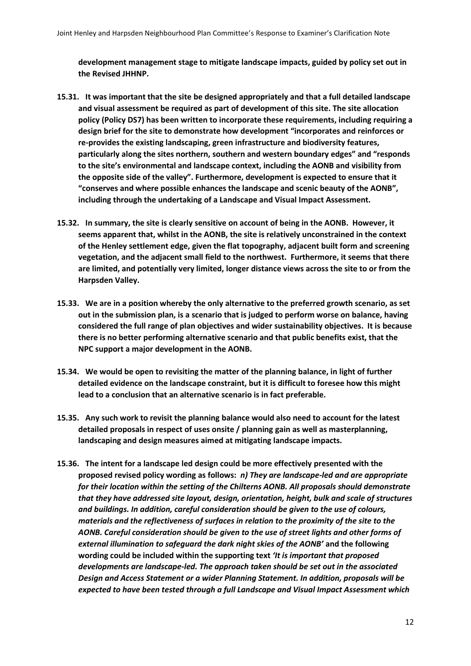**development management stage to mitigate landscape impacts, guided by policy set out in the Revised JHHNP.** 

- **15.31. It was important that the site be designed appropriately and that a full detailed landscape and visual assessment be required as part of development of this site. The site allocation policy (Policy DS7) has been written to incorporate these requirements, including requiring a design brief for the site to demonstrate how development "incorporates and reinforces or re-provides the existing landscaping, green infrastructure and biodiversity features, particularly along the sites northern, southern and western boundary edges" and "responds to the site's environmental and landscape context, including the AONB and visibility from the opposite side of the valley". Furthermore, development is expected to ensure that it "conserves and where possible enhances the landscape and scenic beauty of the AONB", including through the undertaking of a Landscape and Visual Impact Assessment.**
- **15.32. In summary, the site is clearly sensitive on account of being in the AONB. However, it seems apparent that, whilst in the AONB, the site is relatively unconstrained in the context of the Henley settlement edge, given the flat topography, adjacent built form and screening vegetation, and the adjacent small field to the northwest. Furthermore, it seems that there are limited, and potentially very limited, longer distance views across the site to or from the Harpsden Valley.**
- **15.33. We are in a position whereby the only alternative to the preferred growth scenario, as set out in the submission plan, is a scenario that is judged to perform worse on balance, having considered the full range of plan objectives and wider sustainability objectives. It is because there is no better performing alternative scenario and that public benefits exist, that the NPC support a major development in the AONB.**
- **15.34. We would be open to revisiting the matter of the planning balance, in light of further detailed evidence on the landscape constraint, but it is difficult to foresee how this might lead to a conclusion that an alternative scenario is in fact preferable.**
- **15.35. Any such work to revisit the planning balance would also need to account for the latest detailed proposals in respect of uses onsite / planning gain as well as masterplanning, landscaping and design measures aimed at mitigating landscape impacts.**
- **15.36. The intent for a landscape led design could be more effectively presented with the proposed revised policy wording as follows:** *n) They are landscape-led and are appropriate for their location within the setting of the Chilterns AONB. All proposals should demonstrate that they have addressed site layout, design, orientation, height, bulk and scale of structures and buildings. In addition, careful consideration should be given to the use of colours, materials and the reflectiveness of surfaces in relation to the proximity of the site to the AONB. Careful consideration should be given to the use of street lights and other forms of external illumination to safeguard the dark night skies of the AONB'* **and the following wording could be included within the supporting text** *'It is important that proposed developments are landscape-led. The approach taken should be set out in the associated Design and Access Statement or a wider Planning Statement. In addition, proposals will be expected to have been tested through a full Landscape and Visual Impact Assessment which*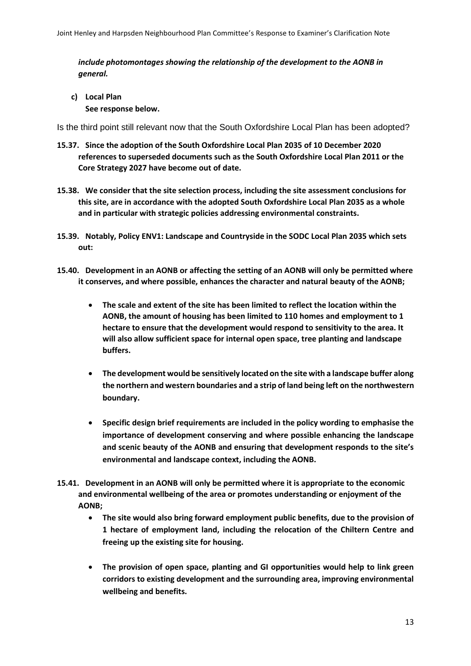*include photomontages showing the relationship of the development to the AONB in general.*

**c) Local Plan See response below.** 

Is the third point still relevant now that the South Oxfordshire Local Plan has been adopted?

- **15.37. Since the adoption of the South Oxfordshire Local Plan 2035 of 10 December 2020 references to superseded documents such as the South Oxfordshire Local Plan 2011 or the Core Strategy 2027 have become out of date.**
- **15.38. We consider that the site selection process, including the site assessment conclusions for this site, are in accordance with the adopted South Oxfordshire Local Plan 2035 as a whole and in particular with strategic policies addressing environmental constraints.**
- **15.39. Notably, Policy ENV1: Landscape and Countryside in the SODC Local Plan 2035 which sets out:**
- **15.40. Development in an AONB or affecting the setting of an AONB will only be permitted where it conserves, and where possible, enhances the character and natural beauty of the AONB;** 
	- **The scale and extent of the site has been limited to reflect the location within the AONB, the amount of housing has been limited to 110 homes and employment to 1 hectare to ensure that the development would respond to sensitivity to the area. It will also allow sufficient space for internal open space, tree planting and landscape buffers.**
	- **The development would be sensitively located on the site with a landscape buffer along the northern and western boundaries and a strip of land being left on the northwestern boundary.**
	- **Specific design brief requirements are included in the policy wording to emphasise the importance of development conserving and where possible enhancing the landscape and scenic beauty of the AONB and ensuring that development responds to the site's environmental and landscape context, including the AONB.**
- **15.41. Development in an AONB will only be permitted where it is appropriate to the economic and environmental wellbeing of the area or promotes understanding or enjoyment of the AONB;** 
	- **The site would also bring forward employment public benefits, due to the provision of 1 hectare of employment land, including the relocation of the Chiltern Centre and freeing up the existing site for housing.**
	- **The provision of open space, planting and GI opportunities would help to link green corridors to existing development and the surrounding area, improving environmental wellbeing and benefits.**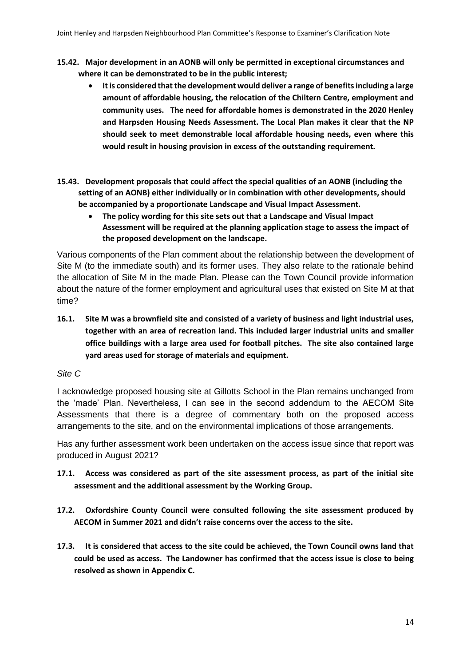- **15.42. Major development in an AONB will only be permitted in exceptional circumstances and where it can be demonstrated to be in the public interest;** 
	- **It is considered that the development would deliver a range of benefits including a large amount of affordable housing, the relocation of the Chiltern Centre, employment and community uses. The need for affordable homes is demonstrated in the 2020 Henley and Harpsden Housing Needs Assessment. The Local Plan makes it clear that the NP should seek to meet demonstrable local affordable housing needs, even where this would result in housing provision in excess of the outstanding requirement.**
- **15.43. Development proposals that could affect the special qualities of an AONB (including the setting of an AONB) either individually or in combination with other developments, should be accompanied by a proportionate Landscape and Visual Impact Assessment.**
	- **The policy wording for this site sets out that a Landscape and Visual Impact Assessment will be required at the planning application stage to assess the impact of the proposed development on the landscape.**

Various components of the Plan comment about the relationship between the development of Site M (to the immediate south) and its former uses. They also relate to the rationale behind the allocation of Site M in the made Plan. Please can the Town Council provide information about the nature of the former employment and agricultural uses that existed on Site M at that time?

**16.1. Site M was a brownfield site and consisted of a variety of business and light industrial uses, together with an area of recreation land. This included larger industrial units and smaller office buildings with a large area used for football pitches. The site also contained large yard areas used for storage of materials and equipment.** 

## *Site C*

I acknowledge proposed housing site at Gillotts School in the Plan remains unchanged from the 'made' Plan. Nevertheless, I can see in the second addendum to the AECOM Site Assessments that there is a degree of commentary both on the proposed access arrangements to the site, and on the environmental implications of those arrangements.

Has any further assessment work been undertaken on the access issue since that report was produced in August 2021?

- **17.1. Access was considered as part of the site assessment process, as part of the initial site assessment and the additional assessment by the Working Group.**
- **17.2. Oxfordshire County Council were consulted following the site assessment produced by AECOM in Summer 2021 and didn't raise concerns over the access to the site.**
- **17.3. It is considered that access to the site could be achieved, the Town Council owns land that could be used as access. The Landowner has confirmed that the access issue is close to being resolved as shown in Appendix C.**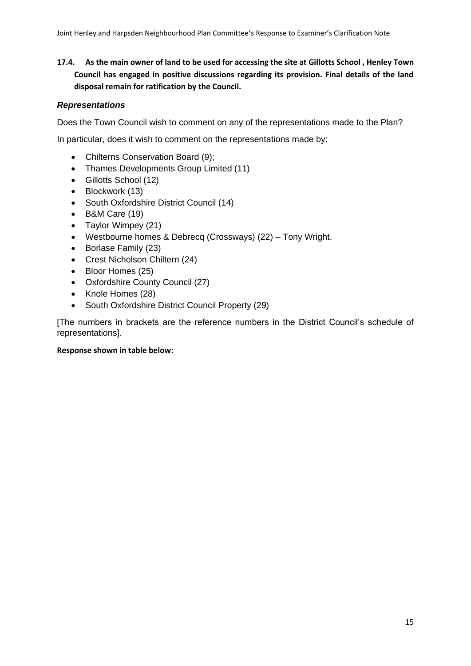**17.4. As the main owner of land to be used for accessing the site at Gillotts School , Henley Town Council has engaged in positive discussions regarding its provision. Final details of the land disposal remain for ratification by the Council.**

### *Representations*

Does the Town Council wish to comment on any of the representations made to the Plan?

In particular, does it wish to comment on the representations made by:

- Chilterns Conservation Board (9);
- Thames Developments Group Limited (11)
- Gillotts School (12)
- Blockwork (13)
- South Oxfordshire District Council (14)
- B&M Care (19)
- Taylor Wimpey (21)
- Westbourne homes & Debrecq (Crossways) (22) Tony Wright.
- Borlase Family (23)
- Crest Nicholson Chiltern (24)
- Bloor Homes (25)
- Oxfordshire County Council (27)
- Knole Homes (28)
- South Oxfordshire District Council Property (29)

[The numbers in brackets are the reference numbers in the District Council's schedule of representations].

#### **Response shown in table below:**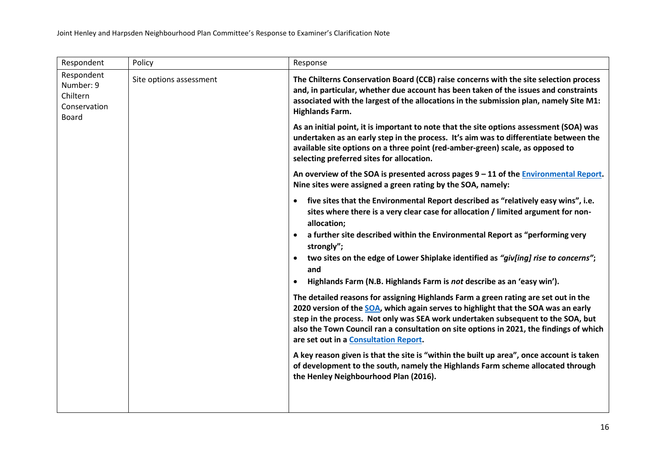| Respondent                                                                                     | Policy                                                                                                                                                                                                                                                                                                          | Response                                                                                                                                                                                                                                                                                                                                                                                          |
|------------------------------------------------------------------------------------------------|-----------------------------------------------------------------------------------------------------------------------------------------------------------------------------------------------------------------------------------------------------------------------------------------------------------------|---------------------------------------------------------------------------------------------------------------------------------------------------------------------------------------------------------------------------------------------------------------------------------------------------------------------------------------------------------------------------------------------------|
| Respondent<br>Site options assessment<br>Number: 9<br>Chiltern<br>Conservation<br><b>Board</b> |                                                                                                                                                                                                                                                                                                                 | The Chilterns Conservation Board (CCB) raise concerns with the site selection process<br>and, in particular, whether due account has been taken of the issues and constraints<br>associated with the largest of the allocations in the submission plan, namely Site M1:<br><b>Highlands Farm.</b>                                                                                                 |
|                                                                                                | As an initial point, it is important to note that the site options assessment (SOA) was<br>undertaken as an early step in the process. It's aim was to differentiate between the<br>available site options on a three point (red-amber-green) scale, as opposed to<br>selecting preferred sites for allocation. |                                                                                                                                                                                                                                                                                                                                                                                                   |
|                                                                                                |                                                                                                                                                                                                                                                                                                                 | An overview of the SOA is presented across pages $9 - 11$ of the Environmental Report.<br>Nine sites were assigned a green rating by the SOA, namely:                                                                                                                                                                                                                                             |
|                                                                                                |                                                                                                                                                                                                                                                                                                                 | five sites that the Environmental Report described as "relatively easy wins", i.e.<br>$\bullet$<br>sites where there is a very clear case for allocation / limited argument for non-<br>allocation;                                                                                                                                                                                               |
|                                                                                                |                                                                                                                                                                                                                                                                                                                 | a further site described within the Environmental Report as "performing very<br>$\bullet$<br>strongly";                                                                                                                                                                                                                                                                                           |
|                                                                                                |                                                                                                                                                                                                                                                                                                                 | two sites on the edge of Lower Shiplake identified as "giv[ing] rise to concerns";<br>and                                                                                                                                                                                                                                                                                                         |
|                                                                                                |                                                                                                                                                                                                                                                                                                                 | Highlands Farm (N.B. Highlands Farm is not describe as an 'easy win').<br>٠                                                                                                                                                                                                                                                                                                                       |
|                                                                                                |                                                                                                                                                                                                                                                                                                                 | The detailed reasons for assigning Highlands Farm a green rating are set out in the<br>2020 version of the SOA, which again serves to highlight that the SOA was an early<br>step in the process. Not only was SEA work undertaken subsequent to the SOA, but<br>also the Town Council ran a consultation on site options in 2021, the findings of which<br>are set out in a Consultation Report. |
|                                                                                                |                                                                                                                                                                                                                                                                                                                 | A key reason given is that the site is "within the built up area", once account is taken<br>of development to the south, namely the Highlands Farm scheme allocated through<br>the Henley Neighbourhood Plan (2016).                                                                                                                                                                              |
|                                                                                                |                                                                                                                                                                                                                                                                                                                 |                                                                                                                                                                                                                                                                                                                                                                                                   |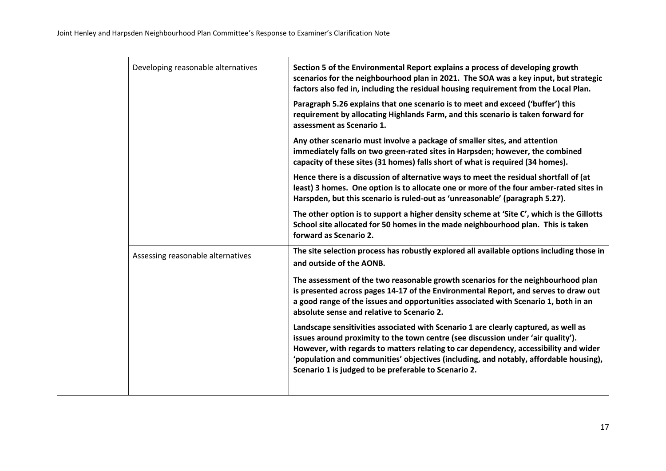| Developing reasonable alternatives | Section 5 of the Environmental Report explains a process of developing growth<br>scenarios for the neighbourhood plan in 2021. The SOA was a key input, but strategic<br>factors also fed in, including the residual housing requirement from the Local Plan.                                                                                                                                                    |
|------------------------------------|------------------------------------------------------------------------------------------------------------------------------------------------------------------------------------------------------------------------------------------------------------------------------------------------------------------------------------------------------------------------------------------------------------------|
|                                    | Paragraph 5.26 explains that one scenario is to meet and exceed ('buffer') this<br>requirement by allocating Highlands Farm, and this scenario is taken forward for<br>assessment as Scenario 1.                                                                                                                                                                                                                 |
|                                    | Any other scenario must involve a package of smaller sites, and attention<br>immediately falls on two green-rated sites in Harpsden; however, the combined<br>capacity of these sites (31 homes) falls short of what is required (34 homes).                                                                                                                                                                     |
|                                    | Hence there is a discussion of alternative ways to meet the residual shortfall of (at<br>least) 3 homes. One option is to allocate one or more of the four amber-rated sites in<br>Harspden, but this scenario is ruled-out as 'unreasonable' (paragraph 5.27).                                                                                                                                                  |
|                                    | The other option is to support a higher density scheme at 'Site C', which is the Gillotts<br>School site allocated for 50 homes in the made neighbourhood plan. This is taken<br>forward as Scenario 2.                                                                                                                                                                                                          |
| Assessing reasonable alternatives  | The site selection process has robustly explored all available options including those in<br>and outside of the AONB.                                                                                                                                                                                                                                                                                            |
|                                    | The assessment of the two reasonable growth scenarios for the neighbourhood plan<br>is presented across pages 14-17 of the Environmental Report, and serves to draw out<br>a good range of the issues and opportunities associated with Scenario 1, both in an<br>absolute sense and relative to Scenario 2.                                                                                                     |
|                                    | Landscape sensitivities associated with Scenario 1 are clearly captured, as well as<br>issues around proximity to the town centre (see discussion under 'air quality').<br>However, with regards to matters relating to car dependency, accessibility and wider<br>'population and communities' objectives (including, and notably, affordable housing),<br>Scenario 1 is judged to be preferable to Scenario 2. |
|                                    |                                                                                                                                                                                                                                                                                                                                                                                                                  |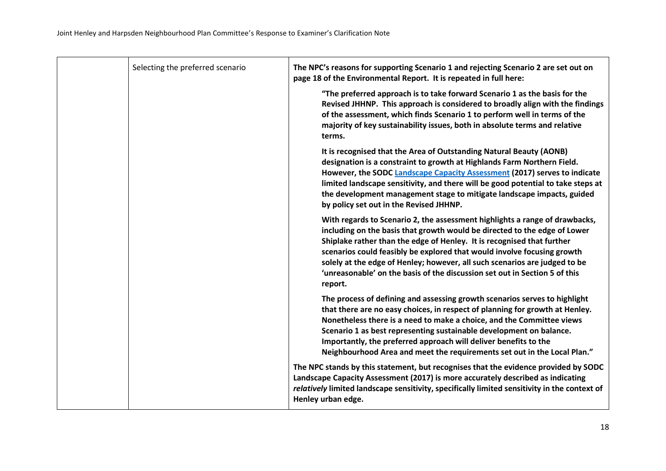| Selecting the preferred scenario | The NPC's reasons for supporting Scenario 1 and rejecting Scenario 2 are set out on<br>page 18 of the Environmental Report. It is repeated in full here:                                                                                                                                                                                                                                                                                                                             |
|----------------------------------|--------------------------------------------------------------------------------------------------------------------------------------------------------------------------------------------------------------------------------------------------------------------------------------------------------------------------------------------------------------------------------------------------------------------------------------------------------------------------------------|
|                                  | "The preferred approach is to take forward Scenario 1 as the basis for the<br>Revised JHHNP. This approach is considered to broadly align with the findings<br>of the assessment, which finds Scenario 1 to perform well in terms of the<br>majority of key sustainability issues, both in absolute terms and relative<br>terms.                                                                                                                                                     |
|                                  | It is recognised that the Area of Outstanding Natural Beauty (AONB)<br>designation is a constraint to growth at Highlands Farm Northern Field.<br>However, the SODC Landscape Capacity Assessment (2017) serves to indicate<br>limited landscape sensitivity, and there will be good potential to take steps at<br>the development management stage to mitigate landscape impacts, guided<br>by policy set out in the Revised JHHNP.                                                 |
|                                  | With regards to Scenario 2, the assessment highlights a range of drawbacks,<br>including on the basis that growth would be directed to the edge of Lower<br>Shiplake rather than the edge of Henley. It is recognised that further<br>scenarios could feasibly be explored that would involve focusing growth<br>solely at the edge of Henley; however, all such scenarios are judged to be<br>'unreasonable' on the basis of the discussion set out in Section 5 of this<br>report. |
|                                  | The process of defining and assessing growth scenarios serves to highlight<br>that there are no easy choices, in respect of planning for growth at Henley.<br>Nonetheless there is a need to make a choice, and the Committee views<br>Scenario 1 as best representing sustainable development on balance.<br>Importantly, the preferred approach will deliver benefits to the<br>Neighbourhood Area and meet the requirements set out in the Local Plan."                           |
|                                  | The NPC stands by this statement, but recognises that the evidence provided by SODC<br>Landscape Capacity Assessment (2017) is more accurately described as indicating<br>relatively limited landscape sensitivity, specifically limited sensitivity in the context of<br>Henley urban edge.                                                                                                                                                                                         |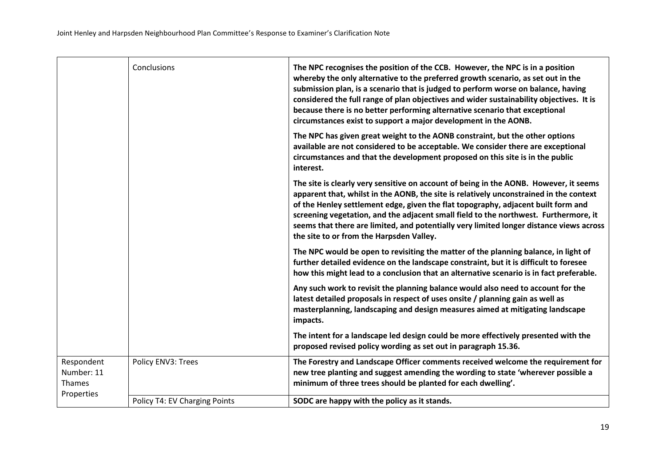|                                    | Conclusions                   | The NPC recognises the position of the CCB. However, the NPC is in a position<br>whereby the only alternative to the preferred growth scenario, as set out in the<br>submission plan, is a scenario that is judged to perform worse on balance, having<br>considered the full range of plan objectives and wider sustainability objectives. It is<br>because there is no better performing alternative scenario that exceptional<br>circumstances exist to support a major development in the AONB. |
|------------------------------------|-------------------------------|-----------------------------------------------------------------------------------------------------------------------------------------------------------------------------------------------------------------------------------------------------------------------------------------------------------------------------------------------------------------------------------------------------------------------------------------------------------------------------------------------------|
|                                    |                               | The NPC has given great weight to the AONB constraint, but the other options<br>available are not considered to be acceptable. We consider there are exceptional<br>circumstances and that the development proposed on this site is in the public<br>interest.                                                                                                                                                                                                                                      |
|                                    |                               | The site is clearly very sensitive on account of being in the AONB. However, it seems<br>apparent that, whilst in the AONB, the site is relatively unconstrained in the context<br>of the Henley settlement edge, given the flat topography, adjacent built form and<br>screening vegetation, and the adjacent small field to the northwest. Furthermore, it<br>seems that there are limited, and potentially very limited longer distance views across<br>the site to or from the Harpsden Valley. |
|                                    |                               | The NPC would be open to revisiting the matter of the planning balance, in light of<br>further detailed evidence on the landscape constraint, but it is difficult to foresee<br>how this might lead to a conclusion that an alternative scenario is in fact preferable.                                                                                                                                                                                                                             |
|                                    |                               | Any such work to revisit the planning balance would also need to account for the<br>latest detailed proposals in respect of uses onsite / planning gain as well as<br>masterplanning, landscaping and design measures aimed at mitigating landscape<br>impacts.                                                                                                                                                                                                                                     |
|                                    |                               | The intent for a landscape led design could be more effectively presented with the<br>proposed revised policy wording as set out in paragraph 15.36.                                                                                                                                                                                                                                                                                                                                                |
| Respondent<br>Number: 11<br>Thames | Policy ENV3: Trees            | The Forestry and Landscape Officer comments received welcome the requirement for<br>new tree planting and suggest amending the wording to state 'wherever possible a<br>minimum of three trees should be planted for each dwelling'.                                                                                                                                                                                                                                                                |
| Properties                         | Policy T4: EV Charging Points | SODC are happy with the policy as it stands.                                                                                                                                                                                                                                                                                                                                                                                                                                                        |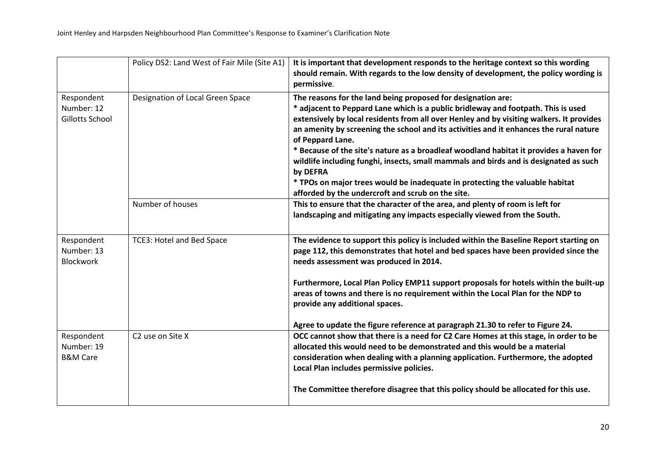|                                                 | Policy DS2: Land West of Fair Mile (Site A1) | It is important that development responds to the heritage context so this wording<br>should remain. With regards to the low density of development, the policy wording is<br>permissive.                                                                                                                                                                                                                                                                                                                                                                                                                                                   |
|-------------------------------------------------|----------------------------------------------|--------------------------------------------------------------------------------------------------------------------------------------------------------------------------------------------------------------------------------------------------------------------------------------------------------------------------------------------------------------------------------------------------------------------------------------------------------------------------------------------------------------------------------------------------------------------------------------------------------------------------------------------|
| Respondent<br>Number: 12<br>Gillotts School     | Designation of Local Green Space             | The reasons for the land being proposed for designation are:<br>* adjacent to Peppard Lane which is a public bridleway and footpath. This is used<br>extensively by local residents from all over Henley and by visiting walkers. It provides<br>an amenity by screening the school and its activities and it enhances the rural nature<br>of Peppard Lane.<br>* Because of the site's nature as a broadleaf woodland habitat it provides a haven for<br>wildlife including funghi, insects, small mammals and birds and is designated as such<br>by DEFRA<br>* TPOs on major trees would be inadequate in protecting the valuable habitat |
|                                                 |                                              | afforded by the undercroft and scrub on the site.                                                                                                                                                                                                                                                                                                                                                                                                                                                                                                                                                                                          |
|                                                 | Number of houses                             | This to ensure that the character of the area, and plenty of room is left for<br>landscaping and mitigating any impacts especially viewed from the South.                                                                                                                                                                                                                                                                                                                                                                                                                                                                                  |
| Respondent<br>Number: 13<br><b>Blockwork</b>    | TCE3: Hotel and Bed Space                    | The evidence to support this policy is included within the Baseline Report starting on<br>page 112, this demonstrates that hotel and bed spaces have been provided since the<br>needs assessment was produced in 2014.                                                                                                                                                                                                                                                                                                                                                                                                                     |
|                                                 |                                              | Furthermore, Local Plan Policy EMP11 support proposals for hotels within the built-up<br>areas of towns and there is no requirement within the Local Plan for the NDP to<br>provide any additional spaces.                                                                                                                                                                                                                                                                                                                                                                                                                                 |
|                                                 |                                              | Agree to update the figure reference at paragraph 21.30 to refer to Figure 24.                                                                                                                                                                                                                                                                                                                                                                                                                                                                                                                                                             |
| Respondent<br>Number: 19<br><b>B&amp;M Care</b> | C <sub>2</sub> use on Site X                 | OCC cannot show that there is a need for C2 Care Homes at this stage, in order to be<br>allocated this would need to be demonstrated and this would be a material<br>consideration when dealing with a planning application. Furthermore, the adopted<br>Local Plan includes permissive policies.                                                                                                                                                                                                                                                                                                                                          |
|                                                 |                                              | The Committee therefore disagree that this policy should be allocated for this use.                                                                                                                                                                                                                                                                                                                                                                                                                                                                                                                                                        |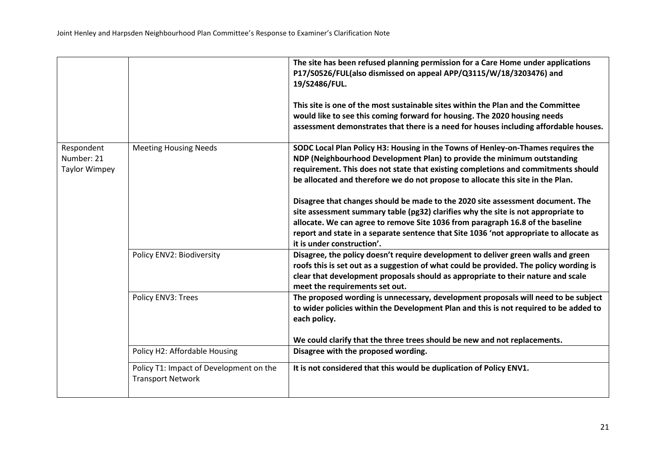|                                                  |                                                                     | The site has been refused planning permission for a Care Home under applications<br>P17/S0526/FUL(also dismissed on appeal APP/Q3115/W/18/3203476) and<br>19/S2486/FUL.<br>This site is one of the most sustainable sites within the Plan and the Committee<br>would like to see this coming forward for housing. The 2020 housing needs<br>assessment demonstrates that there is a need for houses including affordable houses. |
|--------------------------------------------------|---------------------------------------------------------------------|----------------------------------------------------------------------------------------------------------------------------------------------------------------------------------------------------------------------------------------------------------------------------------------------------------------------------------------------------------------------------------------------------------------------------------|
| Respondent<br>Number: 21<br><b>Taylor Wimpey</b> | <b>Meeting Housing Needs</b>                                        | SODC Local Plan Policy H3: Housing in the Towns of Henley-on-Thames requires the<br>NDP (Neighbourhood Development Plan) to provide the minimum outstanding<br>requirement. This does not state that existing completions and commitments should<br>be allocated and therefore we do not propose to allocate this site in the Plan.                                                                                              |
|                                                  |                                                                     | Disagree that changes should be made to the 2020 site assessment document. The<br>site assessment summary table (pg32) clarifies why the site is not appropriate to<br>allocate. We can agree to remove Site 1036 from paragraph 16.8 of the baseline<br>report and state in a separate sentence that Site 1036 'not appropriate to allocate as<br>it is under construction'.                                                    |
|                                                  | Policy ENV2: Biodiversity                                           | Disagree, the policy doesn't require development to deliver green walls and green<br>roofs this is set out as a suggestion of what could be provided. The policy wording is<br>clear that development proposals should as appropriate to their nature and scale<br>meet the requirements set out.                                                                                                                                |
|                                                  | Policy ENV3: Trees                                                  | The proposed wording is unnecessary, development proposals will need to be subject<br>to wider policies within the Development Plan and this is not required to be added to<br>each policy.<br>We could clarify that the three trees should be new and not replacements.                                                                                                                                                         |
|                                                  | Policy H2: Affordable Housing                                       | Disagree with the proposed wording.                                                                                                                                                                                                                                                                                                                                                                                              |
|                                                  | Policy T1: Impact of Development on the<br><b>Transport Network</b> | It is not considered that this would be duplication of Policy ENV1.                                                                                                                                                                                                                                                                                                                                                              |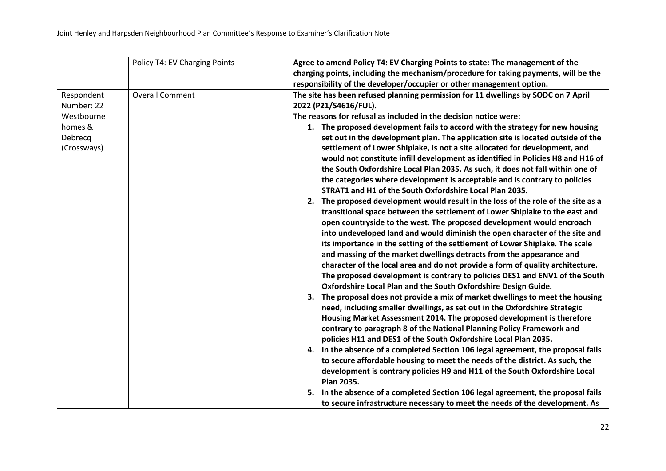|             | Policy T4: EV Charging Points | Agree to amend Policy T4: EV Charging Points to state: The management of the        |
|-------------|-------------------------------|-------------------------------------------------------------------------------------|
|             |                               | charging points, including the mechanism/procedure for taking payments, will be the |
|             |                               | responsibility of the developer/occupier or other management option.                |
| Respondent  | <b>Overall Comment</b>        | The site has been refused planning permission for 11 dwellings by SODC on 7 April   |
| Number: 22  |                               | 2022 (P21/S4616/FUL).                                                               |
| Westbourne  |                               | The reasons for refusal as included in the decision notice were:                    |
| homes &     |                               | 1. The proposed development fails to accord with the strategy for new housing       |
| Debrecq     |                               | set out in the development plan. The application site is located outside of the     |
| (Crossways) |                               | settlement of Lower Shiplake, is not a site allocated for development, and          |
|             |                               | would not constitute infill development as identified in Policies H8 and H16 of     |
|             |                               | the South Oxfordshire Local Plan 2035. As such, it does not fall within one of      |
|             |                               | the categories where development is acceptable and is contrary to policies          |
|             |                               | STRAT1 and H1 of the South Oxfordshire Local Plan 2035.                             |
|             |                               | 2. The proposed development would result in the loss of the role of the site as a   |
|             |                               | transitional space between the settlement of Lower Shiplake to the east and         |
|             |                               | open countryside to the west. The proposed development would encroach               |
|             |                               | into undeveloped land and would diminish the open character of the site and         |
|             |                               | its importance in the setting of the settlement of Lower Shiplake. The scale        |
|             |                               | and massing of the market dwellings detracts from the appearance and                |
|             |                               | character of the local area and do not provide a form of quality architecture.      |
|             |                               | The proposed development is contrary to policies DES1 and ENV1 of the South         |
|             |                               | Oxfordshire Local Plan and the South Oxfordshire Design Guide.                      |
|             |                               | 3. The proposal does not provide a mix of market dwellings to meet the housing      |
|             |                               | need, including smaller dwellings, as set out in the Oxfordshire Strategic          |
|             |                               | Housing Market Assessment 2014. The proposed development is therefore               |
|             |                               | contrary to paragraph 8 of the National Planning Policy Framework and               |
|             |                               | policies H11 and DES1 of the South Oxfordshire Local Plan 2035.                     |
|             |                               | 4. In the absence of a completed Section 106 legal agreement, the proposal fails    |
|             |                               | to secure affordable housing to meet the needs of the district. As such, the        |
|             |                               | development is contrary policies H9 and H11 of the South Oxfordshire Local          |
|             |                               | <b>Plan 2035.</b>                                                                   |
|             |                               | 5. In the absence of a completed Section 106 legal agreement, the proposal fails    |
|             |                               | to secure infrastructure necessary to meet the needs of the development. As         |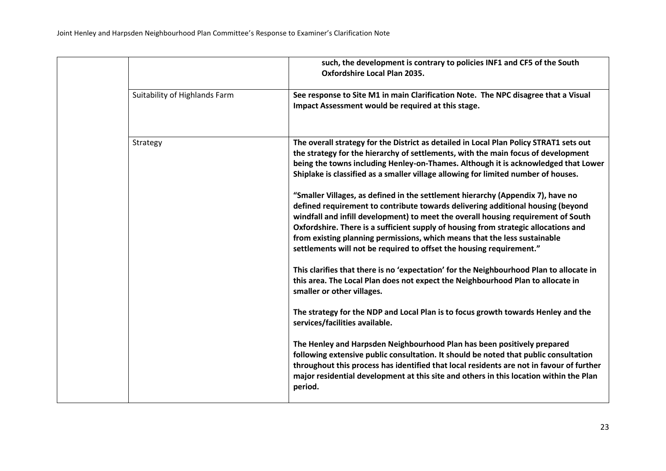|                               | such, the development is contrary to policies INF1 and CF5 of the South<br><b>Oxfordshire Local Plan 2035.</b>                                                                                                                                                                                                                                                                                                                                                                                                                                                                                                                                                                                                                                                                                                                                                                                                                                                                                                                                                                                                                                                                                                                                                                                                                                                                                                                                                                                                                                                        |
|-------------------------------|-----------------------------------------------------------------------------------------------------------------------------------------------------------------------------------------------------------------------------------------------------------------------------------------------------------------------------------------------------------------------------------------------------------------------------------------------------------------------------------------------------------------------------------------------------------------------------------------------------------------------------------------------------------------------------------------------------------------------------------------------------------------------------------------------------------------------------------------------------------------------------------------------------------------------------------------------------------------------------------------------------------------------------------------------------------------------------------------------------------------------------------------------------------------------------------------------------------------------------------------------------------------------------------------------------------------------------------------------------------------------------------------------------------------------------------------------------------------------------------------------------------------------------------------------------------------------|
| Suitability of Highlands Farm | See response to Site M1 in main Clarification Note. The NPC disagree that a Visual<br>Impact Assessment would be required at this stage.                                                                                                                                                                                                                                                                                                                                                                                                                                                                                                                                                                                                                                                                                                                                                                                                                                                                                                                                                                                                                                                                                                                                                                                                                                                                                                                                                                                                                              |
| Strategy                      | The overall strategy for the District as detailed in Local Plan Policy STRAT1 sets out<br>the strategy for the hierarchy of settlements, with the main focus of development<br>being the towns including Henley-on-Thames. Although it is acknowledged that Lower<br>Shiplake is classified as a smaller village allowing for limited number of houses.<br>"Smaller Villages, as defined in the settlement hierarchy (Appendix 7), have no<br>defined requirement to contribute towards delivering additional housing (beyond<br>windfall and infill development) to meet the overall housing requirement of South<br>Oxfordshire. There is a sufficient supply of housing from strategic allocations and<br>from existing planning permissions, which means that the less sustainable<br>settlements will not be required to offset the housing requirement."<br>This clarifies that there is no 'expectation' for the Neighbourhood Plan to allocate in<br>this area. The Local Plan does not expect the Neighbourhood Plan to allocate in<br>smaller or other villages.<br>The strategy for the NDP and Local Plan is to focus growth towards Henley and the<br>services/facilities available.<br>The Henley and Harpsden Neighbourhood Plan has been positively prepared<br>following extensive public consultation. It should be noted that public consultation<br>throughout this process has identified that local residents are not in favour of further<br>major residential development at this site and others in this location within the Plan<br>period. |
|                               |                                                                                                                                                                                                                                                                                                                                                                                                                                                                                                                                                                                                                                                                                                                                                                                                                                                                                                                                                                                                                                                                                                                                                                                                                                                                                                                                                                                                                                                                                                                                                                       |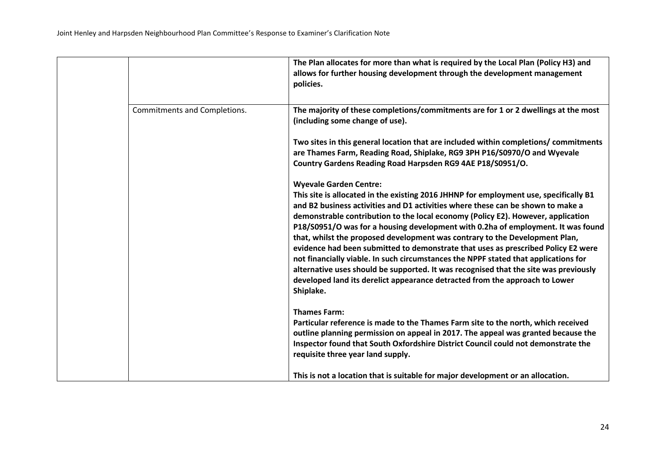|                              | The Plan allocates for more than what is required by the Local Plan (Policy H3) and<br>allows for further housing development through the development management<br>policies.                                                                                                                                                                                                                                                                                                                                                                                                                                                                                                                                                                                                                                                    |
|------------------------------|----------------------------------------------------------------------------------------------------------------------------------------------------------------------------------------------------------------------------------------------------------------------------------------------------------------------------------------------------------------------------------------------------------------------------------------------------------------------------------------------------------------------------------------------------------------------------------------------------------------------------------------------------------------------------------------------------------------------------------------------------------------------------------------------------------------------------------|
| Commitments and Completions. | The majority of these completions/commitments are for 1 or 2 dwellings at the most<br>(including some change of use).                                                                                                                                                                                                                                                                                                                                                                                                                                                                                                                                                                                                                                                                                                            |
|                              | Two sites in this general location that are included within completions/ commitments<br>are Thames Farm, Reading Road, Shiplake, RG9 3PH P16/S0970/O and Wyevale<br>Country Gardens Reading Road Harpsden RG9 4AE P18/S0951/O.                                                                                                                                                                                                                                                                                                                                                                                                                                                                                                                                                                                                   |
|                              | <b>Wyevale Garden Centre:</b><br>This site is allocated in the existing 2016 JHHNP for employment use, specifically B1<br>and B2 business activities and D1 activities where these can be shown to make a<br>demonstrable contribution to the local economy (Policy E2). However, application<br>P18/S0951/O was for a housing development with 0.2ha of employment. It was found<br>that, whilst the proposed development was contrary to the Development Plan,<br>evidence had been submitted to demonstrate that uses as prescribed Policy E2 were<br>not financially viable. In such circumstances the NPPF stated that applications for<br>alternative uses should be supported. It was recognised that the site was previously<br>developed land its derelict appearance detracted from the approach to Lower<br>Shiplake. |
|                              | <b>Thames Farm:</b><br>Particular reference is made to the Thames Farm site to the north, which received<br>outline planning permission on appeal in 2017. The appeal was granted because the<br>Inspector found that South Oxfordshire District Council could not demonstrate the<br>requisite three year land supply.                                                                                                                                                                                                                                                                                                                                                                                                                                                                                                          |
|                              | This is not a location that is suitable for major development or an allocation.                                                                                                                                                                                                                                                                                                                                                                                                                                                                                                                                                                                                                                                                                                                                                  |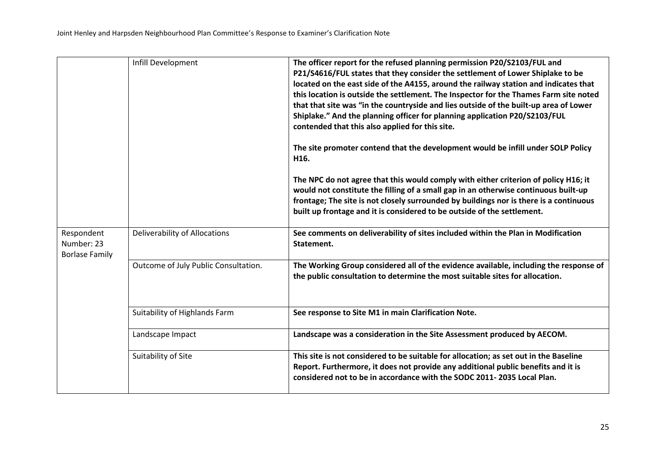|                                                   | Infill Development                   | The officer report for the refused planning permission P20/S2103/FUL and<br>P21/S4616/FUL states that they consider the settlement of Lower Shiplake to be<br>located on the east side of the A4155, around the railway station and indicates that<br>this location is outside the settlement. The Inspector for the Thames Farm site noted<br>that that site was "in the countryside and lies outside of the built-up area of Lower<br>Shiplake." And the planning officer for planning application P20/S2103/FUL<br>contended that this also applied for this site.<br>The site promoter contend that the development would be infill under SOLP Policy<br>H16.<br>The NPC do not agree that this would comply with either criterion of policy H16; it<br>would not constitute the filling of a small gap in an otherwise continuous built-up<br>frontage; The site is not closely surrounded by buildings nor is there is a continuous<br>built up frontage and it is considered to be outside of the settlement. |
|---------------------------------------------------|--------------------------------------|----------------------------------------------------------------------------------------------------------------------------------------------------------------------------------------------------------------------------------------------------------------------------------------------------------------------------------------------------------------------------------------------------------------------------------------------------------------------------------------------------------------------------------------------------------------------------------------------------------------------------------------------------------------------------------------------------------------------------------------------------------------------------------------------------------------------------------------------------------------------------------------------------------------------------------------------------------------------------------------------------------------------|
| Respondent<br>Number: 23<br><b>Borlase Family</b> | Deliverability of Allocations        | See comments on deliverability of sites included within the Plan in Modification<br>Statement.                                                                                                                                                                                                                                                                                                                                                                                                                                                                                                                                                                                                                                                                                                                                                                                                                                                                                                                       |
|                                                   | Outcome of July Public Consultation. | The Working Group considered all of the evidence available, including the response of<br>the public consultation to determine the most suitable sites for allocation.                                                                                                                                                                                                                                                                                                                                                                                                                                                                                                                                                                                                                                                                                                                                                                                                                                                |
|                                                   | Suitability of Highlands Farm        | See response to Site M1 in main Clarification Note.                                                                                                                                                                                                                                                                                                                                                                                                                                                                                                                                                                                                                                                                                                                                                                                                                                                                                                                                                                  |
|                                                   | Landscape Impact                     | Landscape was a consideration in the Site Assessment produced by AECOM.                                                                                                                                                                                                                                                                                                                                                                                                                                                                                                                                                                                                                                                                                                                                                                                                                                                                                                                                              |
|                                                   | Suitability of Site                  | This site is not considered to be suitable for allocation; as set out in the Baseline<br>Report. Furthermore, it does not provide any additional public benefits and it is<br>considered not to be in accordance with the SODC 2011-2035 Local Plan.                                                                                                                                                                                                                                                                                                                                                                                                                                                                                                                                                                                                                                                                                                                                                                 |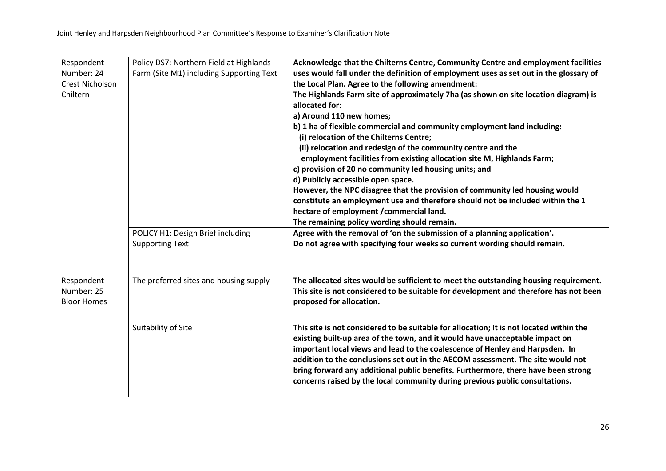| Respondent<br>Number: 24<br><b>Crest Nicholson</b><br>Chiltern | Policy DS7: Northern Field at Highlands<br>Farm (Site M1) including Supporting Text | Acknowledge that the Chilterns Centre, Community Centre and employment facilities<br>uses would fall under the definition of employment uses as set out in the glossary of<br>the Local Plan. Agree to the following amendment:<br>The Highlands Farm site of approximately 7ha (as shown on site location diagram) is<br>allocated for:<br>a) Around 110 new homes;                                                                                                                                            |
|----------------------------------------------------------------|-------------------------------------------------------------------------------------|-----------------------------------------------------------------------------------------------------------------------------------------------------------------------------------------------------------------------------------------------------------------------------------------------------------------------------------------------------------------------------------------------------------------------------------------------------------------------------------------------------------------|
|                                                                |                                                                                     | b) 1 ha of flexible commercial and community employment land including:<br>(i) relocation of the Chilterns Centre;<br>(ii) relocation and redesign of the community centre and the<br>employment facilities from existing allocation site M, Highlands Farm;<br>c) provision of 20 no community led housing units; and<br>d) Publicly accessible open space.                                                                                                                                                    |
|                                                                |                                                                                     | However, the NPC disagree that the provision of community led housing would<br>constitute an employment use and therefore should not be included within the 1<br>hectare of employment /commercial land.<br>The remaining policy wording should remain.                                                                                                                                                                                                                                                         |
|                                                                | POLICY H1: Design Brief including<br><b>Supporting Text</b>                         | Agree with the removal of 'on the submission of a planning application'.<br>Do not agree with specifying four weeks so current wording should remain.                                                                                                                                                                                                                                                                                                                                                           |
| Respondent<br>Number: 25<br><b>Bloor Homes</b>                 | The preferred sites and housing supply                                              | The allocated sites would be sufficient to meet the outstanding housing requirement.<br>This site is not considered to be suitable for development and therefore has not been<br>proposed for allocation.                                                                                                                                                                                                                                                                                                       |
|                                                                | Suitability of Site                                                                 | This site is not considered to be suitable for allocation; It is not located within the<br>existing built-up area of the town, and it would have unacceptable impact on<br>important local views and lead to the coalescence of Henley and Harpsden. In<br>addition to the conclusions set out in the AECOM assessment. The site would not<br>bring forward any additional public benefits. Furthermore, there have been strong<br>concerns raised by the local community during previous public consultations. |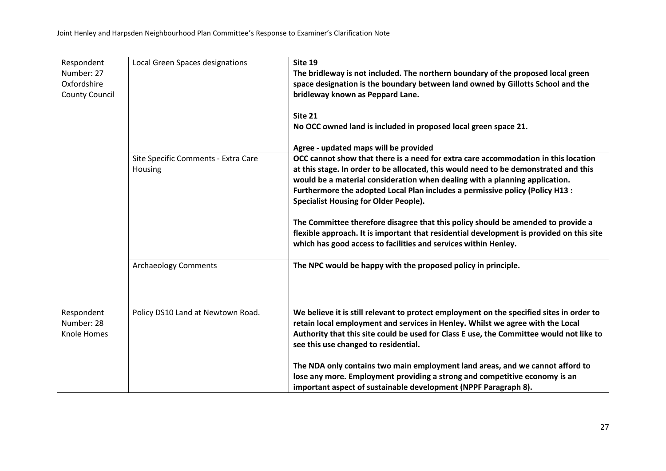| Respondent<br>Number: 27<br>Oxfordshire<br><b>County Council</b> | Local Green Spaces designations                | Site 19<br>The bridleway is not included. The northern boundary of the proposed local green<br>space designation is the boundary between land owned by Gillotts School and the<br>bridleway known as Peppard Lane.<br>Site 21<br>No OCC owned land is included in proposed local green space 21.                                                                                                                                                                                                                                                                                                                                              |
|------------------------------------------------------------------|------------------------------------------------|-----------------------------------------------------------------------------------------------------------------------------------------------------------------------------------------------------------------------------------------------------------------------------------------------------------------------------------------------------------------------------------------------------------------------------------------------------------------------------------------------------------------------------------------------------------------------------------------------------------------------------------------------|
|                                                                  |                                                | Agree - updated maps will be provided                                                                                                                                                                                                                                                                                                                                                                                                                                                                                                                                                                                                         |
|                                                                  | Site Specific Comments - Extra Care<br>Housing | OCC cannot show that there is a need for extra care accommodation in this location<br>at this stage. In order to be allocated, this would need to be demonstrated and this<br>would be a material consideration when dealing with a planning application.<br>Furthermore the adopted Local Plan includes a permissive policy (Policy H13 :<br><b>Specialist Housing for Older People).</b><br>The Committee therefore disagree that this policy should be amended to provide a<br>flexible approach. It is important that residential development is provided on this site<br>which has good access to facilities and services within Henley. |
|                                                                  | <b>Archaeology Comments</b>                    | The NPC would be happy with the proposed policy in principle.                                                                                                                                                                                                                                                                                                                                                                                                                                                                                                                                                                                 |
| Respondent<br>Number: 28<br>Knole Homes                          | Policy DS10 Land at Newtown Road.              | We believe it is still relevant to protect employment on the specified sites in order to<br>retain local employment and services in Henley. Whilst we agree with the Local<br>Authority that this site could be used for Class E use, the Committee would not like to<br>see this use changed to residential.                                                                                                                                                                                                                                                                                                                                 |
|                                                                  |                                                | The NDA only contains two main employment land areas, and we cannot afford to<br>lose any more. Employment providing a strong and competitive economy is an<br>important aspect of sustainable development (NPPF Paragraph 8).                                                                                                                                                                                                                                                                                                                                                                                                                |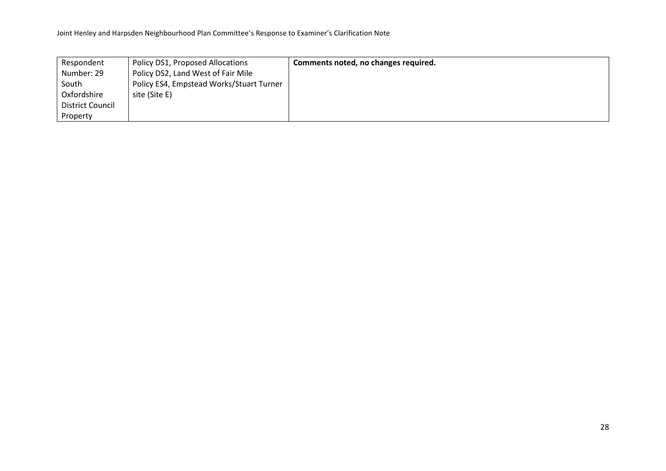| Respondent              | Policy DS1, Proposed Allocations         | Comments noted, no changes required. |
|-------------------------|------------------------------------------|--------------------------------------|
| Number: 29              | Policy DS2, Land West of Fair Mile       |                                      |
| South                   | Policy ES4, Empstead Works/Stuart Turner |                                      |
| Oxfordshire             | site (Site E)                            |                                      |
| <b>District Council</b> |                                          |                                      |
| Property                |                                          |                                      |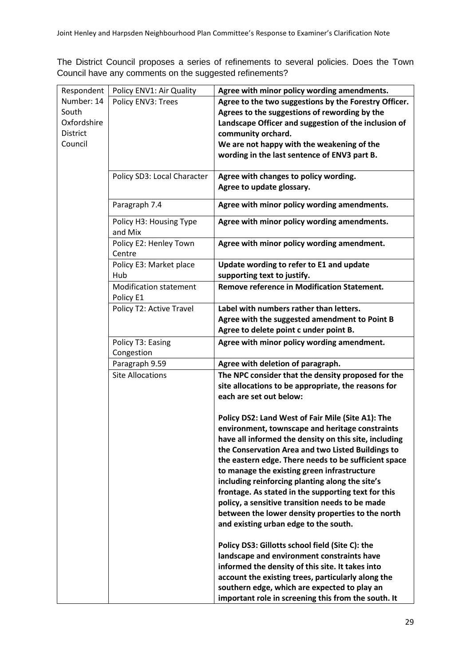The District Council proposes a series of refinements to several policies. Does the Town Council have any comments on the suggested refinements?

| Respondent  | Policy ENV1: Air Quality      | Agree with minor policy wording amendments.           |
|-------------|-------------------------------|-------------------------------------------------------|
| Number: 14  | Policy ENV3: Trees            | Agree to the two suggestions by the Forestry Officer. |
| South       |                               | Agrees to the suggestions of rewording by the         |
| Oxfordshire |                               | Landscape Officer and suggestion of the inclusion of  |
| District    |                               | community orchard.                                    |
| Council     |                               | We are not happy with the weakening of the            |
|             |                               | wording in the last sentence of ENV3 part B.          |
|             |                               |                                                       |
|             | Policy SD3: Local Character   | Agree with changes to policy wording.                 |
|             |                               | Agree to update glossary.                             |
|             | Paragraph 7.4                 | Agree with minor policy wording amendments.           |
|             |                               |                                                       |
|             | Policy H3: Housing Type       | Agree with minor policy wording amendments.           |
|             | and Mix                       |                                                       |
|             | Policy E2: Henley Town        | Agree with minor policy wording amendment.            |
|             | Centre                        |                                                       |
|             | Policy E3: Market place       | Update wording to refer to E1 and update              |
|             | Hub                           | supporting text to justify.                           |
|             | <b>Modification statement</b> | <b>Remove reference in Modification Statement.</b>    |
|             | Policy E1                     |                                                       |
|             | Policy T2: Active Travel      | Label with numbers rather than letters.               |
|             |                               | Agree with the suggested amendment to Point B         |
|             |                               | Agree to delete point c under point B.                |
|             | Policy T3: Easing             | Agree with minor policy wording amendment.            |
|             | Congestion                    |                                                       |
|             | Paragraph 9.59                | Agree with deletion of paragraph.                     |
|             | <b>Site Allocations</b>       | The NPC consider that the density proposed for the    |
|             |                               | site allocations to be appropriate, the reasons for   |
|             |                               | each are set out below:                               |
|             |                               |                                                       |
|             |                               | Policy DS2: Land West of Fair Mile (Site A1): The     |
|             |                               | environment, townscape and heritage constraints       |
|             |                               | have all informed the density on this site, including |
|             |                               | the Conservation Area and two Listed Buildings to     |
|             |                               | the eastern edge. There needs to be sufficient space  |
|             |                               | to manage the existing green infrastructure           |
|             |                               | including reinforcing planting along the site's       |
|             |                               | frontage. As stated in the supporting text for this   |
|             |                               | policy, a sensitive transition needs to be made       |
|             |                               | between the lower density properties to the north     |
|             |                               | and existing urban edge to the south.                 |
|             |                               | Policy DS3: Gillotts school field (Site C): the       |
|             |                               | landscape and environment constraints have            |
|             |                               | informed the density of this site. It takes into      |
|             |                               | account the existing trees, particularly along the    |
|             |                               | southern edge, which are expected to play an          |
|             |                               | important role in screening this from the south. It   |
|             |                               |                                                       |